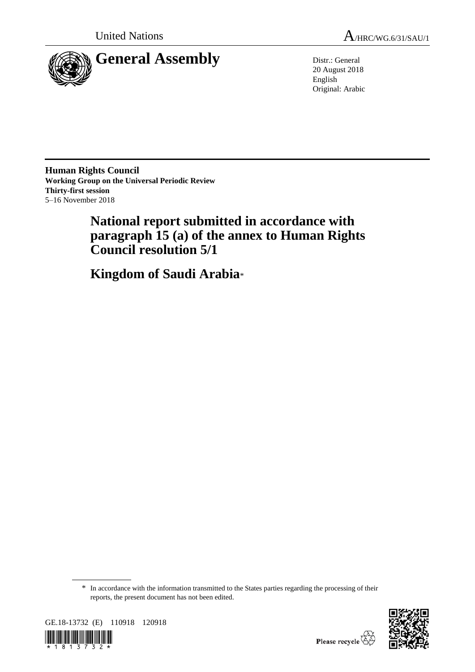



20 August 2018 English Original: Arabic

**Human Rights Council Working Group on the Universal Periodic Review Thirty-first session** 5–16 November 2018

# **National report submitted in accordance with paragraph 15 (a) of the annex to Human Rights Council resolution 5/1**

**Kingdom of Saudi Arabia**\*

<sup>\*</sup> In accordance with the information transmitted to the States parties regarding the processing of their reports, the present document has not been edited.



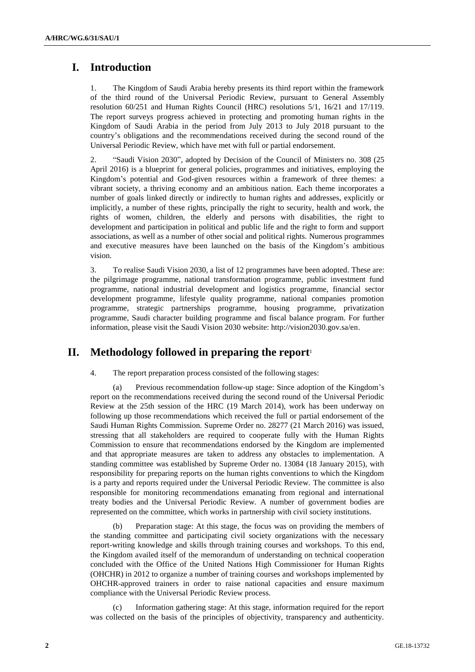## **I. Introduction**

1. The Kingdom of Saudi Arabia hereby presents its third report within the framework of the third round of the Universal Periodic Review, pursuant to General Assembly resolution 60/251 and Human Rights Council (HRC) resolutions 5/1, 16/21 and 17/119. The report surveys progress achieved in protecting and promoting human rights in the Kingdom of Saudi Arabia in the period from July 2013 to July 2018 pursuant to the country's obligations and the recommendations received during the second round of the Universal Periodic Review, which have met with full or partial endorsement.

2. "Saudi Vision 2030", adopted by Decision of the Council of Ministers no. 308 (25 April 2016) is a blueprint for general policies, programmes and initiatives, employing the Kingdom's potential and God-given resources within a framework of three themes: a vibrant society, a thriving economy and an ambitious nation. Each theme incorporates a number of goals linked directly or indirectly to human rights and addresses, explicitly or implicitly, a number of these rights, principally the right to security, health and work, the rights of women, children, the elderly and persons with disabilities, the right to development and participation in political and public life and the right to form and support associations, as well as a number of other social and political rights. Numerous programmes and executive measures have been launched on the basis of the Kingdom's ambitious vision.

3. To realise Saudi Vision 2030, a list of 12 programmes have been adopted. These are: the pilgrimage programme, national transformation programme, public investment fund programme, national industrial development and logistics programme, financial sector development programme, lifestyle quality programme, national companies promotion programme, strategic partnerships programme, housing programme, privatization programme, Saudi character building programme and fiscal balance program. For further information, please visit the Saudi Vision 2030 website: http://vision2030.gov.sa/en.

## **II. Methodology followed in preparing the report**<sup>1</sup>

4. The report preparation process consisted of the following stages:

(a) Previous recommendation follow-up stage: Since adoption of the Kingdom's report on the recommendations received during the second round of the Universal Periodic Review at the 25th session of the HRC (19 March 2014), work has been underway on following up those recommendations which received the full or partial endorsement of the Saudi Human Rights Commission. Supreme Order no. 28277 (21 March 2016) was issued, stressing that all stakeholders are required to cooperate fully with the Human Rights Commission to ensure that recommendations endorsed by the Kingdom are implemented and that appropriate measures are taken to address any obstacles to implementation. A standing committee was established by Supreme Order no. 13084 (18 January 2015), with responsibility for preparing reports on the human rights conventions to which the Kingdom is a party and reports required under the Universal Periodic Review. The committee is also responsible for monitoring recommendations emanating from regional and international treaty bodies and the Universal Periodic Review. A number of government bodies are represented on the committee, which works in partnership with civil society institutions.

Preparation stage: At this stage, the focus was on providing the members of the standing committee and participating civil society organizations with the necessary report-writing knowledge and skills through training courses and workshops. To this end, the Kingdom availed itself of the memorandum of understanding on technical cooperation concluded with the Office of the United Nations High Commissioner for Human Rights (OHCHR) in 2012 to organize a number of training courses and workshops implemented by OHCHR-approved trainers in order to raise national capacities and ensure maximum compliance with the Universal Periodic Review process.

Information gathering stage: At this stage, information required for the report was collected on the basis of the principles of objectivity, transparency and authenticity.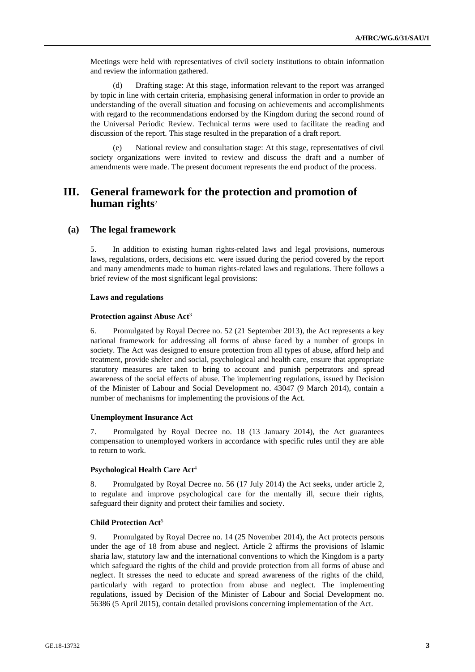Meetings were held with representatives of civil society institutions to obtain information and review the information gathered.

(d) Drafting stage: At this stage, information relevant to the report was arranged by topic in line with certain criteria, emphasising general information in order to provide an understanding of the overall situation and focusing on achievements and accomplishments with regard to the recommendations endorsed by the Kingdom during the second round of the Universal Periodic Review. Technical terms were used to facilitate the reading and discussion of the report. This stage resulted in the preparation of a draft report.

(e) National review and consultation stage: At this stage, representatives of civil society organizations were invited to review and discuss the draft and a number of amendments were made. The present document represents the end product of the process.

## **III. General framework for the protection and promotion of human rights**<sup>2</sup>

#### **(a) The legal framework**

5. In addition to existing human rights-related laws and legal provisions, numerous laws, regulations, orders, decisions etc. were issued during the period covered by the report and many amendments made to human rights-related laws and regulations. There follows a brief review of the most significant legal provisions:

#### **Laws and regulations**

#### **Protection against Abuse Act**<sup>3</sup>

6. Promulgated by Royal Decree no. 52 (21 September 2013), the Act represents a key national framework for addressing all forms of abuse faced by a number of groups in society. The Act was designed to ensure protection from all types of abuse, afford help and treatment, provide shelter and social, psychological and health care, ensure that appropriate statutory measures are taken to bring to account and punish perpetrators and spread awareness of the social effects of abuse. The implementing regulations, issued by Decision of the Minister of Labour and Social Development no. 43047 (9 March 2014), contain a number of mechanisms for implementing the provisions of the Act.

#### **Unemployment Insurance Act**

7. Promulgated by Royal Decree no. 18 (13 January 2014), the Act guarantees compensation to unemployed workers in accordance with specific rules until they are able to return to work.

#### **Psychological Health Care Act**<sup>4</sup>

8. Promulgated by Royal Decree no. 56 (17 July 2014) the Act seeks, under article 2, to regulate and improve psychological care for the mentally ill, secure their rights, safeguard their dignity and protect their families and society.

#### **Child Protection Act**<sup>5</sup>

9. Promulgated by Royal Decree no. 14 (25 November 2014), the Act protects persons under the age of 18 from abuse and neglect. Article 2 affirms the provisions of Islamic sharia law, statutory law and the international conventions to which the Kingdom is a party which safeguard the rights of the child and provide protection from all forms of abuse and neglect. It stresses the need to educate and spread awareness of the rights of the child, particularly with regard to protection from abuse and neglect. The implementing regulations, issued by Decision of the Minister of Labour and Social Development no. 56386 (5 April 2015), contain detailed provisions concerning implementation of the Act.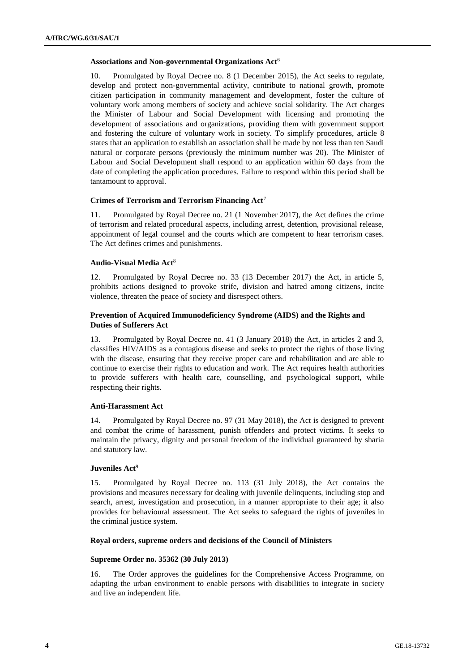#### **Associations and Non-governmental Organizations Act**<sup>6</sup>

10. Promulgated by Royal Decree no. 8 (1 December 2015), the Act seeks to regulate, develop and protect non-governmental activity, contribute to national growth, promote citizen participation in community management and development, foster the culture of voluntary work among members of society and achieve social solidarity. The Act charges the Minister of Labour and Social Development with licensing and promoting the development of associations and organizations, providing them with government support and fostering the culture of voluntary work in society. To simplify procedures, article 8 states that an application to establish an association shall be made by not less than ten Saudi natural or corporate persons (previously the minimum number was 20). The Minister of Labour and Social Development shall respond to an application within 60 days from the date of completing the application procedures. Failure to respond within this period shall be tantamount to approval.

#### **Crimes of Terrorism and Terrorism Financing Act**<sup>7</sup>

11. Promulgated by Royal Decree no. 21 (1 November 2017), the Act defines the crime of terrorism and related procedural aspects, including arrest, detention, provisional release, appointment of legal counsel and the courts which are competent to hear terrorism cases. The Act defines crimes and punishments.

#### **Audio-Visual Media Act**<sup>8</sup>

12. Promulgated by Royal Decree no. 33 (13 December 2017) the Act, in article 5, prohibits actions designed to provoke strife, division and hatred among citizens, incite violence, threaten the peace of society and disrespect others.

#### **Prevention of Acquired Immunodeficiency Syndrome (AIDS) and the Rights and Duties of Sufferers Act**

13. Promulgated by Royal Decree no. 41 (3 January 2018) the Act, in articles 2 and 3, classifies HIV/AIDS as a contagious disease and seeks to protect the rights of those living with the disease, ensuring that they receive proper care and rehabilitation and are able to continue to exercise their rights to education and work. The Act requires health authorities to provide sufferers with health care, counselling, and psychological support, while respecting their rights.

#### **Anti-Harassment Act**

14. Promulgated by Royal Decree no. 97 (31 May 2018), the Act is designed to prevent and combat the crime of harassment, punish offenders and protect victims. It seeks to maintain the privacy, dignity and personal freedom of the individual guaranteed by sharia and statutory law.

#### **Juveniles Act**<sup>9</sup>

15. Promulgated by Royal Decree no. 113 (31 July 2018), the Act contains the provisions and measures necessary for dealing with juvenile delinquents, including stop and search, arrest, investigation and prosecution, in a manner appropriate to their age; it also provides for behavioural assessment. The Act seeks to safeguard the rights of juveniles in the criminal justice system.

#### **Royal orders, supreme orders and decisions of the Council of Ministers**

#### **Supreme Order no. 35362 (30 July 2013)**

16. The Order approves the guidelines for the Comprehensive Access Programme, on adapting the urban environment to enable persons with disabilities to integrate in society and live an independent life.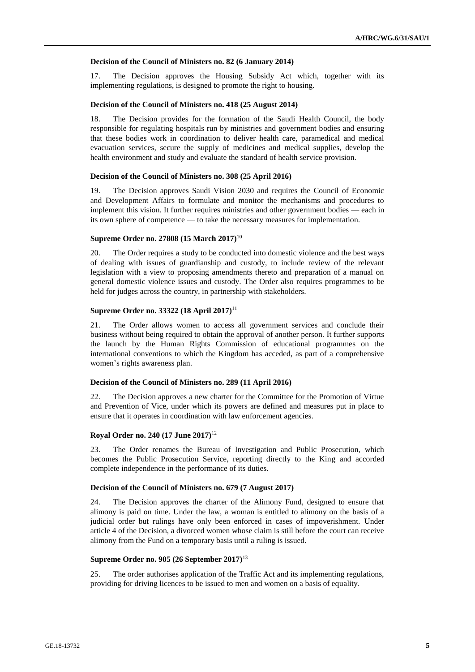#### **Decision of the Council of Ministers no. 82 (6 January 2014)**

17. The Decision approves the Housing Subsidy Act which, together with its implementing regulations, is designed to promote the right to housing.

#### **Decision of the Council of Ministers no. 418 (25 August 2014)**

18. The Decision provides for the formation of the Saudi Health Council, the body responsible for regulating hospitals run by ministries and government bodies and ensuring that these bodies work in coordination to deliver health care, paramedical and medical evacuation services, secure the supply of medicines and medical supplies, develop the health environment and study and evaluate the standard of health service provision.

#### **Decision of the Council of Ministers no. 308 (25 April 2016)**

19. The Decision approves Saudi Vision 2030 and requires the Council of Economic and Development Affairs to formulate and monitor the mechanisms and procedures to implement this vision. It further requires ministries and other government bodies — each in its own sphere of competence — to take the necessary measures for implementation.

#### **Supreme Order no. 27808 (15 March 2017)**<sup>10</sup>

20. The Order requires a study to be conducted into domestic violence and the best ways of dealing with issues of guardianship and custody, to include review of the relevant legislation with a view to proposing amendments thereto and preparation of a manual on general domestic violence issues and custody. The Order also requires programmes to be held for judges across the country, in partnership with stakeholders.

#### **Supreme Order no. 33322 (18 April 2017)**<sup>11</sup>

21. The Order allows women to access all government services and conclude their business without being required to obtain the approval of another person. It further supports the launch by the Human Rights Commission of educational programmes on the international conventions to which the Kingdom has acceded, as part of a comprehensive women's rights awareness plan.

#### **Decision of the Council of Ministers no. 289 (11 April 2016)**

22. The Decision approves a new charter for the Committee for the Promotion of Virtue and Prevention of Vice, under which its powers are defined and measures put in place to ensure that it operates in coordination with law enforcement agencies.

#### **Royal Order no. 240 (17 June 2017)**<sup>12</sup>

23. The Order renames the Bureau of Investigation and Public Prosecution, which becomes the Public Prosecution Service, reporting directly to the King and accorded complete independence in the performance of its duties.

#### **Decision of the Council of Ministers no. 679 (7 August 2017)**

24. The Decision approves the charter of the Alimony Fund, designed to ensure that alimony is paid on time. Under the law, a woman is entitled to alimony on the basis of a judicial order but rulings have only been enforced in cases of impoverishment. Under article 4 of the Decision, a divorced women whose claim is still before the court can receive alimony from the Fund on a temporary basis until a ruling is issued.

#### **Supreme Order no. 905 (26 September 2017)**<sup>13</sup>

25. The order authorises application of the Traffic Act and its implementing regulations, providing for driving licences to be issued to men and women on a basis of equality.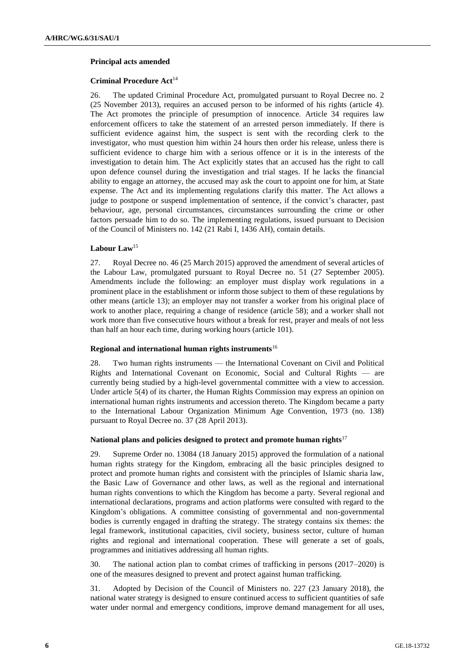#### **Principal acts amended**

#### **Criminal Procedure Act**<sup>14</sup>

26. The updated Criminal Procedure Act, promulgated pursuant to Royal Decree no. 2 (25 November 2013), requires an accused person to be informed of his rights (article 4). The Act promotes the principle of presumption of innocence. Article 34 requires law enforcement officers to take the statement of an arrested person immediately. If there is sufficient evidence against him, the suspect is sent with the recording clerk to the investigator, who must question him within 24 hours then order his release, unless there is sufficient evidence to charge him with a serious offence or it is in the interests of the investigation to detain him. The Act explicitly states that an accused has the right to call upon defence counsel during the investigation and trial stages. If he lacks the financial ability to engage an attorney, the accused may ask the court to appoint one for him, at State expense. The Act and its implementing regulations clarify this matter. The Act allows a judge to postpone or suspend implementation of sentence, if the convict's character, past behaviour, age, personal circumstances, circumstances surrounding the crime or other factors persuade him to do so. The implementing regulations, issued pursuant to Decision of the Council of Ministers no. 142 (21 Rabi I, 1436 AH), contain details.

#### **Labour Law**<sup>15</sup>

27. Royal Decree no. 46 (25 March 2015) approved the amendment of several articles of the Labour Law, promulgated pursuant to Royal Decree no. 51 (27 September 2005). Amendments include the following: an employer must display work regulations in a prominent place in the establishment or inform those subject to them of these regulations by other means (article 13); an employer may not transfer a worker from his original place of work to another place, requiring a change of residence (article 58); and a worker shall not work more than five consecutive hours without a break for rest, prayer and meals of not less than half an hour each time, during working hours (article 101).

#### **Regional and international human rights instruments**<sup>16</sup>

28. Two human rights instruments — the International Covenant on Civil and Political Rights and International Covenant on Economic, Social and Cultural Rights — are currently being studied by a high-level governmental committee with a view to accession. Under article 5(4) of its charter, the Human Rights Commission may express an opinion on international human rights instruments and accession thereto. The Kingdom became a party to the International Labour Organization Minimum Age Convention, 1973 (no. 138) pursuant to Royal Decree no. 37 (28 April 2013).

#### **National plans and policies designed to protect and promote human rights**<sup>17</sup>

29. Supreme Order no. 13084 (18 January 2015) approved the formulation of a national human rights strategy for the Kingdom, embracing all the basic principles designed to protect and promote human rights and consistent with the principles of Islamic sharia law, the Basic Law of Governance and other laws, as well as the regional and international human rights conventions to which the Kingdom has become a party. Several regional and international declarations, programs and action platforms were consulted with regard to the Kingdom's obligations. A committee consisting of governmental and non-governmental bodies is currently engaged in drafting the strategy. The strategy contains six themes: the legal framework, institutional capacities, civil society, business sector, culture of human rights and regional and international cooperation. These will generate a set of goals, programmes and initiatives addressing all human rights.

30. The national action plan to combat crimes of trafficking in persons (2017–2020) is one of the measures designed to prevent and protect against human trafficking.

31. Adopted by Decision of the Council of Ministers no. 227 (23 January 2018), the national water strategy is designed to ensure continued access to sufficient quantities of safe water under normal and emergency conditions, improve demand management for all uses,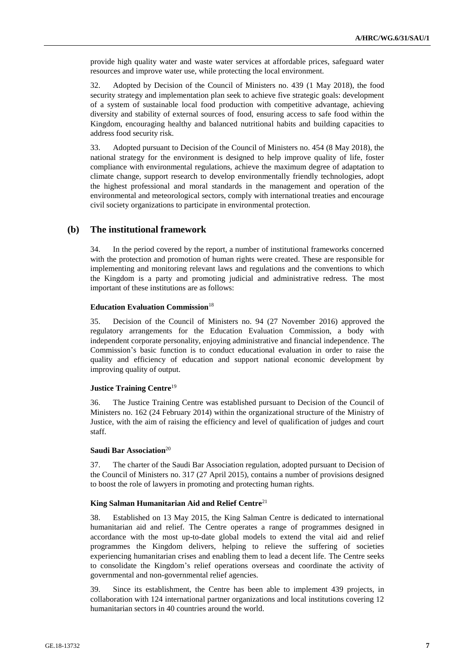provide high quality water and waste water services at affordable prices, safeguard water resources and improve water use, while protecting the local environment.

32. Adopted by Decision of the Council of Ministers no. 439 (1 May 2018), the food security strategy and implementation plan seek to achieve five strategic goals: development of a system of sustainable local food production with competitive advantage, achieving diversity and stability of external sources of food, ensuring access to safe food within the Kingdom, encouraging healthy and balanced nutritional habits and building capacities to address food security risk.

33. Adopted pursuant to Decision of the Council of Ministers no. 454 (8 May 2018), the national strategy for the environment is designed to help improve quality of life, foster compliance with environmental regulations, achieve the maximum degree of adaptation to climate change, support research to develop environmentally friendly technologies, adopt the highest professional and moral standards in the management and operation of the environmental and meteorological sectors, comply with international treaties and encourage civil society organizations to participate in environmental protection.

#### **(b) The institutional framework**

34. In the period covered by the report, a number of institutional frameworks concerned with the protection and promotion of human rights were created. These are responsible for implementing and monitoring relevant laws and regulations and the conventions to which the Kingdom is a party and promoting judicial and administrative redress. The most important of these institutions are as follows:

#### **Education Evaluation Commission**<sup>18</sup>

35. Decision of the Council of Ministers no. 94 (27 November 2016) approved the regulatory arrangements for the Education Evaluation Commission, a body with independent corporate personality, enjoying administrative and financial independence. The Commission's basic function is to conduct educational evaluation in order to raise the quality and efficiency of education and support national economic development by improving quality of output.

#### **Justice Training Centre**<sup>19</sup>

36. The Justice Training Centre was established pursuant to Decision of the Council of Ministers no. 162 (24 February 2014) within the organizational structure of the Ministry of Justice, with the aim of raising the efficiency and level of qualification of judges and court staff.

#### **Saudi Bar Association**<sup>20</sup>

37. The charter of the Saudi Bar Association regulation, adopted pursuant to Decision of the Council of Ministers no. 317 (27 April 2015), contains a number of provisions designed to boost the role of lawyers in promoting and protecting human rights.

#### **King Salman Humanitarian Aid and Relief Centre**<sup>21</sup>

38. Established on 13 May 2015, the King Salman Centre is dedicated to international humanitarian aid and relief. The Centre operates a range of programmes designed in accordance with the most up-to-date global models to extend the vital aid and relief programmes the Kingdom delivers, helping to relieve the suffering of societies experiencing humanitarian crises and enabling them to lead a decent life. The Centre seeks to consolidate the Kingdom's relief operations overseas and coordinate the activity of governmental and non-governmental relief agencies.

39. Since its establishment, the Centre has been able to implement 439 projects, in collaboration with 124 international partner organizations and local institutions covering 12 humanitarian sectors in 40 countries around the world.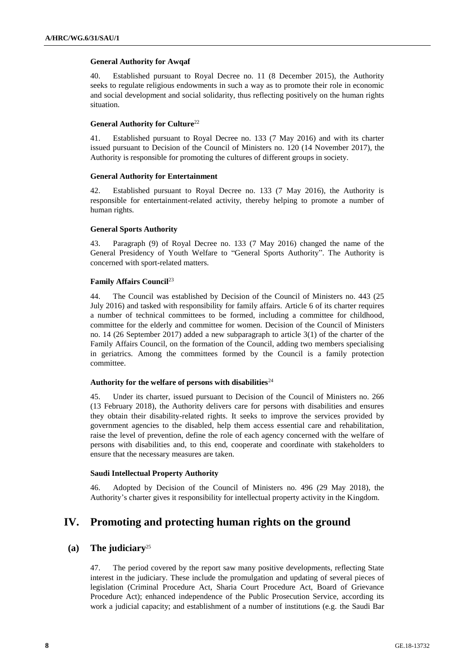#### **General Authority for Awqaf**

40. Established pursuant to Royal Decree no. 11 (8 December 2015), the Authority seeks to regulate religious endowments in such a way as to promote their role in economic and social development and social solidarity, thus reflecting positively on the human rights situation.

#### **General Authority for Culture**<sup>22</sup>

41. Established pursuant to Royal Decree no. 133 (7 May 2016) and with its charter issued pursuant to Decision of the Council of Ministers no. 120 (14 November 2017), the Authority is responsible for promoting the cultures of different groups in society.

#### **General Authority for Entertainment**

42. Established pursuant to Royal Decree no. 133 (7 May 2016), the Authority is responsible for entertainment-related activity, thereby helping to promote a number of human rights.

#### **General Sports Authority**

43. Paragraph (9) of Royal Decree no. 133 (7 May 2016) changed the name of the General Presidency of Youth Welfare to "General Sports Authority". The Authority is concerned with sport-related matters.

#### **Family Affairs Council**<sup>23</sup>

44. The Council was established by Decision of the Council of Ministers no. 443 (25 July 2016) and tasked with responsibility for family affairs. Article 6 of its charter requires a number of technical committees to be formed, including a committee for childhood, committee for the elderly and committee for women. Decision of the Council of Ministers no. 14 (26 September 2017) added a new subparagraph to article 3(1) of the charter of the Family Affairs Council, on the formation of the Council, adding two members specialising in geriatrics. Among the committees formed by the Council is a family protection committee.

#### **Authority for the welfare of persons with disabilities**<sup>24</sup>

45. Under its charter, issued pursuant to Decision of the Council of Ministers no. 266 (13 February 2018), the Authority delivers care for persons with disabilities and ensures they obtain their disability-related rights. It seeks to improve the services provided by government agencies to the disabled, help them access essential care and rehabilitation, raise the level of prevention, define the role of each agency concerned with the welfare of persons with disabilities and, to this end, cooperate and coordinate with stakeholders to ensure that the necessary measures are taken.

#### **Saudi Intellectual Property Authority**

46. Adopted by Decision of the Council of Ministers no. 496 (29 May 2018), the Authority's charter gives it responsibility for intellectual property activity in the Kingdom.

## **IV. Promoting and protecting human rights on the ground**

## **(a) The judiciary**<sup>25</sup>

47. The period covered by the report saw many positive developments, reflecting State interest in the judiciary. These include the promulgation and updating of several pieces of legislation (Criminal Procedure Act, Sharia Court Procedure Act, Board of Grievance Procedure Act); enhanced independence of the Public Prosecution Service, according its work a judicial capacity; and establishment of a number of institutions (e.g. the Saudi Bar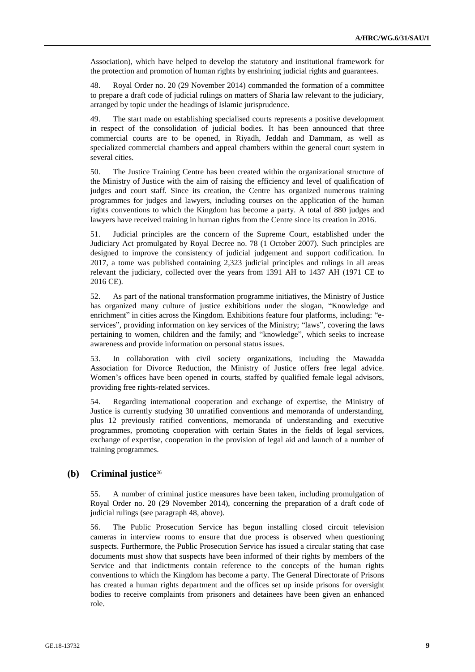Association), which have helped to develop the statutory and institutional framework for the protection and promotion of human rights by enshrining judicial rights and guarantees.

48. Royal Order no. 20 (29 November 2014) commanded the formation of a committee to prepare a draft code of judicial rulings on matters of Sharia law relevant to the judiciary, arranged by topic under the headings of Islamic jurisprudence.

49. The start made on establishing specialised courts represents a positive development in respect of the consolidation of judicial bodies. It has been announced that three commercial courts are to be opened, in Riyadh, Jeddah and Dammam, as well as specialized commercial chambers and appeal chambers within the general court system in several cities.

50. The Justice Training Centre has been created within the organizational structure of the Ministry of Justice with the aim of raising the efficiency and level of qualification of judges and court staff. Since its creation, the Centre has organized numerous training programmes for judges and lawyers, including courses on the application of the human rights conventions to which the Kingdom has become a party. A total of 880 judges and lawyers have received training in human rights from the Centre since its creation in 2016.

51. Judicial principles are the concern of the Supreme Court, established under the Judiciary Act promulgated by Royal Decree no. 78 (1 October 2007). Such principles are designed to improve the consistency of judicial judgement and support codification. In 2017, a tome was published containing 2,323 judicial principles and rulings in all areas relevant the judiciary, collected over the years from 1391 AH to 1437 AH (1971 CE to 2016 CE).

52. As part of the national transformation programme initiatives, the Ministry of Justice has organized many culture of justice exhibitions under the slogan, "Knowledge and enrichment" in cities across the Kingdom. Exhibitions feature four platforms, including: "eservices", providing information on key services of the Ministry; "laws", covering the laws pertaining to women, children and the family; and "knowledge", which seeks to increase awareness and provide information on personal status issues.

53. In collaboration with civil society organizations, including the Mawadda Association for Divorce Reduction, the Ministry of Justice offers free legal advice. Women's offices have been opened in courts, staffed by qualified female legal advisors, providing free rights-related services.

54. Regarding international cooperation and exchange of expertise, the Ministry of Justice is currently studying 30 unratified conventions and memoranda of understanding, plus 12 previously ratified conventions, memoranda of understanding and executive programmes, promoting cooperation with certain States in the fields of legal services, exchange of expertise, cooperation in the provision of legal aid and launch of a number of training programmes.

## **(b) Criminal justice**<sup>26</sup>

55. A number of criminal justice measures have been taken, including promulgation of Royal Order no. 20 (29 November 2014), concerning the preparation of a draft code of judicial rulings (see paragraph 48, above).

56. The Public Prosecution Service has begun installing closed circuit television cameras in interview rooms to ensure that due process is observed when questioning suspects. Furthermore, the Public Prosecution Service has issued a circular stating that case documents must show that suspects have been informed of their rights by members of the Service and that indictments contain reference to the concepts of the human rights conventions to which the Kingdom has become a party. The General Directorate of Prisons has created a human rights department and the offices set up inside prisons for oversight bodies to receive complaints from prisoners and detainees have been given an enhanced role.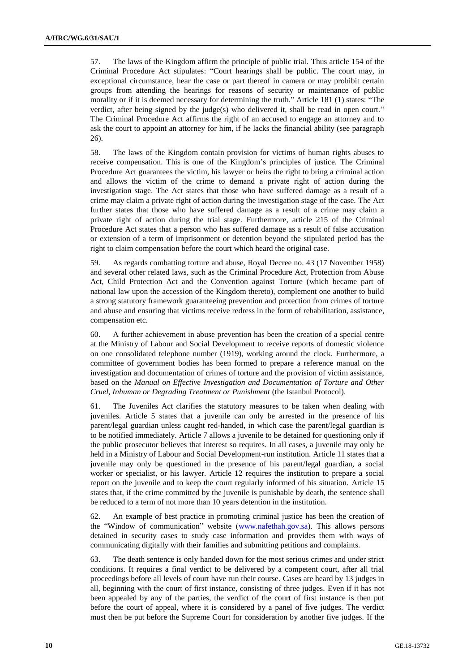57. The laws of the Kingdom affirm the principle of public trial. Thus article 154 of the Criminal Procedure Act stipulates: "Court hearings shall be public. The court may, in exceptional circumstance, hear the case or part thereof in camera or may prohibit certain groups from attending the hearings for reasons of security or maintenance of public morality or if it is deemed necessary for determining the truth." Article 181 (1) states: "The verdict, after being signed by the judge(s) who delivered it, shall be read in open court." The Criminal Procedure Act affirms the right of an accused to engage an attorney and to ask the court to appoint an attorney for him, if he lacks the financial ability (see paragraph 26).

58. The laws of the Kingdom contain provision for victims of human rights abuses to receive compensation. This is one of the Kingdom's principles of justice. The Criminal Procedure Act guarantees the victim, his lawyer or heirs the right to bring a criminal action and allows the victim of the crime to demand a private right of action during the investigation stage. The Act states that those who have suffered damage as a result of a crime may claim a private right of action during the investigation stage of the case. The Act further states that those who have suffered damage as a result of a crime may claim a private right of action during the trial stage. Furthermore, article 215 of the Criminal Procedure Act states that a person who has suffered damage as a result of false accusation or extension of a term of imprisonment or detention beyond the stipulated period has the right to claim compensation before the court which heard the original case.

59. As regards combatting torture and abuse, Royal Decree no. 43 (17 November 1958) and several other related laws, such as the Criminal Procedure Act, Protection from Abuse Act, Child Protection Act and the Convention against Torture (which became part of national law upon the accession of the Kingdom thereto), complement one another to build a strong statutory framework guaranteeing prevention and protection from crimes of torture and abuse and ensuring that victims receive redress in the form of rehabilitation, assistance, compensation etc.

60. A further achievement in abuse prevention has been the creation of a special centre at the Ministry of Labour and Social Development to receive reports of domestic violence on one consolidated telephone number (1919), working around the clock. Furthermore, a committee of government bodies has been formed to prepare a reference manual on the investigation and documentation of crimes of torture and the provision of victim assistance, based on the *Manual on Effective Investigation and Documentation of Torture and Other Cruel, Inhuman or Degrading Treatment or Punishment* (the Istanbul Protocol).

61. The Juveniles Act clarifies the statutory measures to be taken when dealing with juveniles. Article 5 states that a juvenile can only be arrested in the presence of his parent/legal guardian unless caught red-handed, in which case the parent/legal guardian is to be notified immediately. Article 7 allows a juvenile to be detained for questioning only if the public prosecutor believes that interest so requires. In all cases, a juvenile may only be held in a Ministry of Labour and Social Development-run institution. Article 11 states that a juvenile may only be questioned in the presence of his parent/legal guardian, a social worker or specialist, or his lawyer. Article 12 requires the institution to prepare a social report on the juvenile and to keep the court regularly informed of his situation. Article 15 states that, if the crime committed by the juvenile is punishable by death, the sentence shall be reduced to a term of not more than 10 years detention in the institution.

62. An example of best practice in promoting criminal justice has been the creation of the "Window of communication" website [\(www.nafethah.gov.sa\)](http://www.nafethah.gov.sa/). This allows persons detained in security cases to study case information and provides them with ways of communicating digitally with their families and submitting petitions and complaints.

63. The death sentence is only handed down for the most serious crimes and under strict conditions. It requires a final verdict to be delivered by a competent court, after all trial proceedings before all levels of court have run their course. Cases are heard by 13 judges in all, beginning with the court of first instance, consisting of three judges. Even if it has not been appealed by any of the parties, the verdict of the court of first instance is then put before the court of appeal, where it is considered by a panel of five judges. The verdict must then be put before the Supreme Court for consideration by another five judges. If the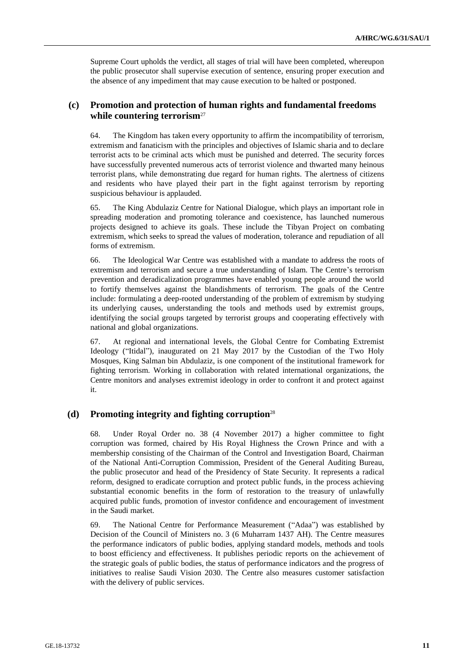Supreme Court upholds the verdict, all stages of trial will have been completed, whereupon the public prosecutor shall supervise execution of sentence, ensuring proper execution and the absence of any impediment that may cause execution to be halted or postponed.

## **(c) Promotion and protection of human rights and fundamental freedoms while countering terrorism**<sup>27</sup>

64. The Kingdom has taken every opportunity to affirm the incompatibility of terrorism, extremism and fanaticism with the principles and objectives of Islamic sharia and to declare terrorist acts to be criminal acts which must be punished and deterred. The security forces have successfully prevented numerous acts of terrorist violence and thwarted many heinous terrorist plans, while demonstrating due regard for human rights. The alertness of citizens and residents who have played their part in the fight against terrorism by reporting suspicious behaviour is applauded.

65. The King Abdulaziz Centre for National Dialogue, which plays an important role in spreading moderation and promoting tolerance and coexistence, has launched numerous projects designed to achieve its goals. These include the Tibyan Project on combating extremism, which seeks to spread the values of moderation, tolerance and repudiation of all forms of extremism.

66. The Ideological War Centre was established with a mandate to address the roots of extremism and terrorism and secure a true understanding of Islam. The Centre's terrorism prevention and deradicalization programmes have enabled young people around the world to fortify themselves against the blandishments of terrorism. The goals of the Centre include: formulating a deep-rooted understanding of the problem of extremism by studying its underlying causes, understanding the tools and methods used by extremist groups, identifying the social groups targeted by terrorist groups and cooperating effectively with national and global organizations.

67. At regional and international levels, the Global Centre for Combating Extremist Ideology ("Itidal"), inaugurated on 21 May 2017 by the Custodian of the Two Holy Mosques, King Salman bin Abdulaziz, is one component of the institutional framework for fighting terrorism. Working in collaboration with related international organizations, the Centre monitors and analyses extremist ideology in order to confront it and protect against it.

### **(d) Promoting integrity and fighting corruption**<sup>28</sup>

68. Under Royal Order no. 38 (4 November 2017) a higher committee to fight corruption was formed, chaired by His Royal Highness the Crown Prince and with a membership consisting of the Chairman of the Control and Investigation Board, Chairman of the National Anti-Corruption Commission, President of the General Auditing Bureau, the public prosecutor and head of the Presidency of State Security. It represents a radical reform, designed to eradicate corruption and protect public funds, in the process achieving substantial economic benefits in the form of restoration to the treasury of unlawfully acquired public funds, promotion of investor confidence and encouragement of investment in the Saudi market.

69. The National Centre for Performance Measurement ("Adaa") was established by Decision of the Council of Ministers no. 3 (6 Muharram 1437 AH). The Centre measures the performance indicators of public bodies, applying standard models, methods and tools to boost efficiency and effectiveness. It publishes periodic reports on the achievement of the strategic goals of public bodies, the status of performance indicators and the progress of initiatives to realise Saudi Vision 2030. The Centre also measures customer satisfaction with the delivery of public services.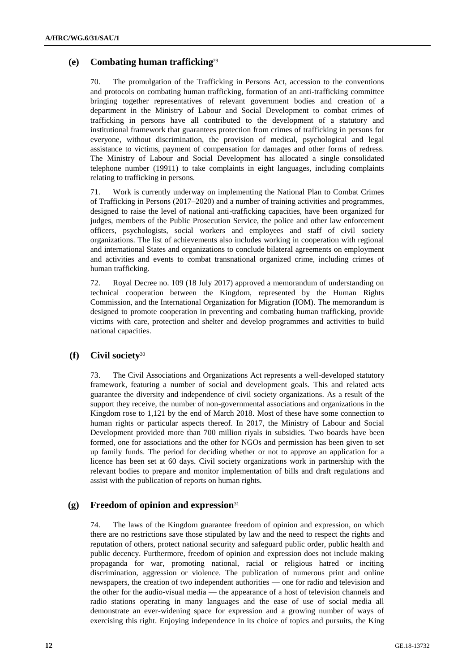## **(e) Combating human trafficking**<sup>29</sup>

70. The promulgation of the Trafficking in Persons Act, accession to the conventions and protocols on combating human trafficking, formation of an anti-trafficking committee bringing together representatives of relevant government bodies and creation of a department in the Ministry of Labour and Social Development to combat crimes of trafficking in persons have all contributed to the development of a statutory and institutional framework that guarantees protection from crimes of trafficking in persons for everyone, without discrimination, the provision of medical, psychological and legal assistance to victims, payment of compensation for damages and other forms of redress. The Ministry of Labour and Social Development has allocated a single consolidated telephone number (19911) to take complaints in eight languages, including complaints relating to trafficking in persons.

71. Work is currently underway on implementing the National Plan to Combat Crimes of Trafficking in Persons (2017–2020) and a number of training activities and programmes, designed to raise the level of national anti-trafficking capacities, have been organized for judges, members of the Public Prosecution Service, the police and other law enforcement officers, psychologists, social workers and employees and staff of civil society organizations. The list of achievements also includes working in cooperation with regional and international States and organizations to conclude bilateral agreements on employment and activities and events to combat transnational organized crime, including crimes of human trafficking.

72. Royal Decree no. 109 (18 July 2017) approved a memorandum of understanding on technical cooperation between the Kingdom, represented by the Human Rights Commission, and the International Organization for Migration (IOM). The memorandum is designed to promote cooperation in preventing and combating human trafficking, provide victims with care, protection and shelter and develop programmes and activities to build national capacities.

## **(f) Civil society**<sup>30</sup>

73. The Civil Associations and Organizations Act represents a well-developed statutory framework, featuring a number of social and development goals. This and related acts guarantee the diversity and independence of civil society organizations. As a result of the support they receive, the number of non-governmental associations and organizations in the Kingdom rose to 1,121 by the end of March 2018. Most of these have some connection to human rights or particular aspects thereof. In 2017, the Ministry of Labour and Social Development provided more than 700 million riyals in subsidies. Two boards have been formed, one for associations and the other for NGOs and permission has been given to set up family funds. The period for deciding whether or not to approve an application for a licence has been set at 60 days. Civil society organizations work in partnership with the relevant bodies to prepare and monitor implementation of bills and draft regulations and assist with the publication of reports on human rights.

### **(g) Freedom of opinion and expression**<sup>31</sup>

74. The laws of the Kingdom guarantee freedom of opinion and expression, on which there are no restrictions save those stipulated by law and the need to respect the rights and reputation of others, protect national security and safeguard public order, public health and public decency. Furthermore, freedom of opinion and expression does not include making propaganda for war, promoting national, racial or religious hatred or inciting discrimination, aggression or violence. The publication of numerous print and online newspapers, the creation of two independent authorities — one for radio and television and the other for the audio-visual media — the appearance of a host of television channels and radio stations operating in many languages and the ease of use of social media all demonstrate an ever-widening space for expression and a growing number of ways of exercising this right. Enjoying independence in its choice of topics and pursuits, the King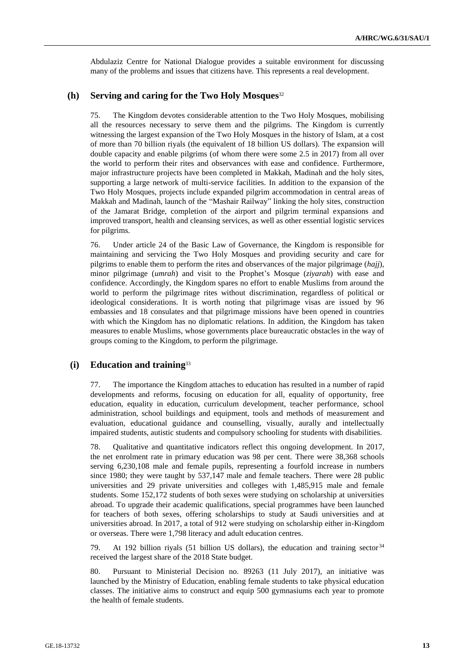Abdulaziz Centre for National Dialogue provides a suitable environment for discussing many of the problems and issues that citizens have. This represents a real development.

## **(h) Serving and caring for the Two Holy Mosques** 32

75. The Kingdom devotes considerable attention to the Two Holy Mosques, mobilising all the resources necessary to serve them and the pilgrims. The Kingdom is currently witnessing the largest expansion of the Two Holy Mosques in the history of Islam, at a cost of more than 70 billion riyals (the equivalent of 18 billion US dollars). The expansion will double capacity and enable pilgrims (of whom there were some 2.5 in 2017) from all over the world to perform their rites and observances with ease and confidence. Furthermore, major infrastructure projects have been completed in Makkah, Madinah and the holy sites, supporting a large network of multi-service facilities. In addition to the expansion of the Two Holy Mosques, projects include expanded pilgrim accommodation in central areas of Makkah and Madinah, launch of the "Mashair Railway" linking the holy sites, construction of the Jamarat Bridge, completion of the airport and pilgrim terminal expansions and improved transport, health and cleansing services, as well as other essential logistic services for pilgrims.

76. Under article 24 of the Basic Law of Governance, the Kingdom is responsible for maintaining and servicing the Two Holy Mosques and providing security and care for pilgrims to enable them to perform the rites and observances of the major pilgrimage (*hajj*), minor pilgrimage (*umrah*) and visit to the Prophet's Mosque (*ziyarah*) with ease and confidence. Accordingly, the Kingdom spares no effort to enable Muslims from around the world to perform the pilgrimage rites without discrimination, regardless of political or ideological considerations. It is worth noting that pilgrimage visas are issued by 96 embassies and 18 consulates and that pilgrimage missions have been opened in countries with which the Kingdom has no diplomatic relations. In addition, the Kingdom has taken measures to enable Muslims, whose governments place bureaucratic obstacles in the way of groups coming to the Kingdom, to perform the pilgrimage.

#### **(i) Education and training**<sup>33</sup>

77. The importance the Kingdom attaches to education has resulted in a number of rapid developments and reforms, focusing on education for all, equality of opportunity, free education, equality in education, curriculum development, teacher performance, school administration, school buildings and equipment, tools and methods of measurement and evaluation, educational guidance and counselling, visually, aurally and intellectually impaired students, autistic students and compulsory schooling for students with disabilities.

78. Qualitative and quantitative indicators reflect this ongoing development. In 2017, the net enrolment rate in primary education was 98 per cent. There were 38,368 schools serving 6,230,108 male and female pupils, representing a fourfold increase in numbers since 1980; they were taught by 537,147 male and female teachers. There were 28 public universities and 29 private universities and colleges with 1,485,915 male and female students. Some 152,172 students of both sexes were studying on scholarship at universities abroad. To upgrade their academic qualifications, special programmes have been launched for teachers of both sexes, offering scholarships to study at Saudi universities and at universities abroad. In 2017, a total of 912 were studying on scholarship either in-Kingdom or overseas. There were 1,798 literacy and adult education centres.

79. At 192 billion riyals (51 billion US dollars), the education and training sector  $34$ received the largest share of the 2018 State budget.

80. Pursuant to Ministerial Decision no. 89263 (11 July 2017), an initiative was launched by the Ministry of Education, enabling female students to take physical education classes. The initiative aims to construct and equip 500 gymnasiums each year to promote the health of female students.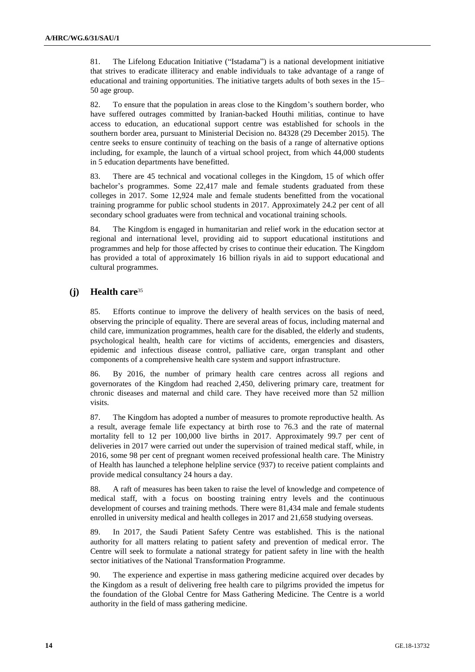81. The Lifelong Education Initiative ("Istadama") is a national development initiative that strives to eradicate illiteracy and enable individuals to take advantage of a range of educational and training opportunities. The initiative targets adults of both sexes in the 15– 50 age group.

82. To ensure that the population in areas close to the Kingdom's southern border, who have suffered outrages committed by Iranian-backed Houthi militias, continue to have access to education, an educational support centre was established for schools in the southern border area, pursuant to Ministerial Decision no. 84328 (29 December 2015). The centre seeks to ensure continuity of teaching on the basis of a range of alternative options including, for example, the launch of a virtual school project, from which 44,000 students in 5 education departments have benefitted.

83. There are 45 technical and vocational colleges in the Kingdom, 15 of which offer bachelor's programmes. Some 22,417 male and female students graduated from these colleges in 2017. Some 12,924 male and female students benefitted from the vocational training programme for public school students in 2017. Approximately 24.2 per cent of all secondary school graduates were from technical and vocational training schools.

84. The Kingdom is engaged in humanitarian and relief work in the education sector at regional and international level, providing aid to support educational institutions and programmes and help for those affected by crises to continue their education. The Kingdom has provided a total of approximately 16 billion riyals in aid to support educational and cultural programmes.

## **(j) Health care**<sup>35</sup>

85. Efforts continue to improve the delivery of health services on the basis of need, observing the principle of equality. There are several areas of focus, including maternal and child care, immunization programmes, health care for the disabled, the elderly and students, psychological health, health care for victims of accidents, emergencies and disasters, epidemic and infectious disease control, palliative care, organ transplant and other components of a comprehensive health care system and support infrastructure.

86. By 2016, the number of primary health care centres across all regions and governorates of the Kingdom had reached 2,450, delivering primary care, treatment for chronic diseases and maternal and child care. They have received more than 52 million visits.

87. The Kingdom has adopted a number of measures to promote reproductive health. As a result, average female life expectancy at birth rose to 76.3 and the rate of maternal mortality fell to 12 per 100,000 live births in 2017. Approximately 99.7 per cent of deliveries in 2017 were carried out under the supervision of trained medical staff, while, in 2016, some 98 per cent of pregnant women received professional health care. The Ministry of Health has launched a telephone helpline service (937) to receive patient complaints and provide medical consultancy 24 hours a day.

88. A raft of measures has been taken to raise the level of knowledge and competence of medical staff, with a focus on boosting training entry levels and the continuous development of courses and training methods. There were 81,434 male and female students enrolled in university medical and health colleges in 2017 and 21,658 studying overseas.

89. In 2017, the Saudi Patient Safety Centre was established. This is the national authority for all matters relating to patient safety and prevention of medical error. The Centre will seek to formulate a national strategy for patient safety in line with the health sector initiatives of the National Transformation Programme.

90. The experience and expertise in mass gathering medicine acquired over decades by the Kingdom as a result of delivering free health care to pilgrims provided the impetus for the foundation of the Global Centre for Mass Gathering Medicine. The Centre is a world authority in the field of mass gathering medicine.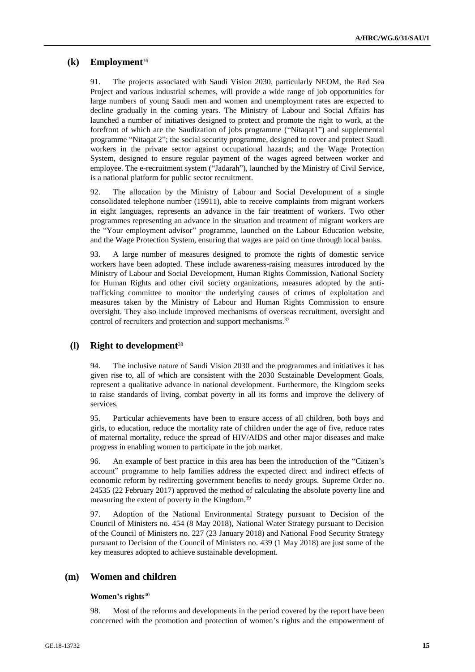### **(k) Employment**<sup>36</sup>

91. The projects associated with Saudi Vision 2030, particularly NEOM, the Red Sea Project and various industrial schemes, will provide a wide range of job opportunities for large numbers of young Saudi men and women and unemployment rates are expected to decline gradually in the coming years. The Ministry of Labour and Social Affairs has launched a number of initiatives designed to protect and promote the right to work, at the forefront of which are the Saudization of jobs programme ("Nitaqat1") and supplemental programme "Nitaqat 2"; the social security programme, designed to cover and protect Saudi workers in the private sector against occupational hazards; and the Wage Protection System, designed to ensure regular payment of the wages agreed between worker and employee. The e-recruitment system ("Jadarah"), launched by the Ministry of Civil Service, is a national platform for public sector recruitment.

92. The allocation by the Ministry of Labour and Social Development of a single consolidated telephone number (19911), able to receive complaints from migrant workers in eight languages, represents an advance in the fair treatment of workers. Two other programmes representing an advance in the situation and treatment of migrant workers are the "Your employment advisor" programme, launched on the Labour Education website, and the Wage Protection System, ensuring that wages are paid on time through local banks.

93. A large number of measures designed to promote the rights of domestic service workers have been adopted. These include awareness-raising measures introduced by the Ministry of Labour and Social Development, Human Rights Commission, National Society for Human Rights and other civil society organizations, measures adopted by the antitrafficking committee to monitor the underlying causes of crimes of exploitation and measures taken by the Ministry of Labour and Human Rights Commission to ensure oversight. They also include improved mechanisms of overseas recruitment, oversight and control of recruiters and protection and support mechanisms.<sup>37</sup>

### **(l) Right to development**<sup>38</sup>

94. The inclusive nature of Saudi Vision 2030 and the programmes and initiatives it has given rise to, all of which are consistent with the 2030 Sustainable Development Goals, represent a qualitative advance in national development. Furthermore, the Kingdom seeks to raise standards of living, combat poverty in all its forms and improve the delivery of services.

95. Particular achievements have been to ensure access of all children, both boys and girls, to education, reduce the mortality rate of children under the age of five, reduce rates of maternal mortality, reduce the spread of HIV/AIDS and other major diseases and make progress in enabling women to participate in the job market.

96. An example of best practice in this area has been the introduction of the "Citizen's account" programme to help families address the expected direct and indirect effects of economic reform by redirecting government benefits to needy groups. Supreme Order no. 24535 (22 February 2017) approved the method of calculating the absolute poverty line and measuring the extent of poverty in the Kingdom.<sup>39</sup>

97. Adoption of the National Environmental Strategy pursuant to Decision of the Council of Ministers no. 454 (8 May 2018), National Water Strategy pursuant to Decision of the Council of Ministers no. 227 (23 January 2018) and National Food Security Strategy pursuant to Decision of the Council of Ministers no. 439 (1 May 2018) are just some of the key measures adopted to achieve sustainable development.

## **(m) Women and children**

#### **Women's rights**<sup>40</sup>

98. Most of the reforms and developments in the period covered by the report have been concerned with the promotion and protection of women's rights and the empowerment of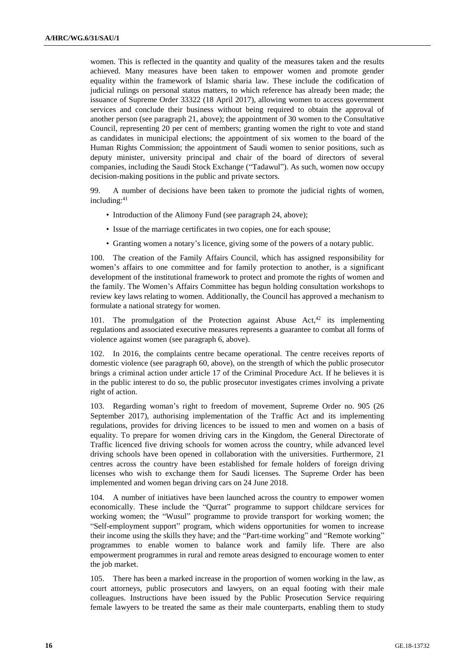women. This is reflected in the quantity and quality of the measures taken and the results achieved. Many measures have been taken to empower women and promote gender equality within the framework of Islamic sharia law. These include the codification of judicial rulings on personal status matters, to which reference has already been made; the issuance of Supreme Order 33322 (18 April 2017), allowing women to access government services and conclude their business without being required to obtain the approval of another person (see paragraph 21, above); the appointment of 30 women to the Consultative Council, representing 20 per cent of members; granting women the right to vote and stand as candidates in municipal elections; the appointment of six women to the board of the Human Rights Commission; the appointment of Saudi women to senior positions, such as deputy minister, university principal and chair of the board of directors of several companies, including the Saudi Stock Exchange ("Tadawul"). As such, women now occupy decision-making positions in the public and private sectors.

99. A number of decisions have been taken to promote the judicial rights of women, including: 41

- Introduction of the Alimony Fund (see paragraph 24, above);
- Issue of the marriage certificates in two copies, one for each spouse;
- Granting women a notary's licence, giving some of the powers of a notary public.

100. The creation of the Family Affairs Council, which has assigned responsibility for women's affairs to one committee and for family protection to another, is a significant development of the institutional framework to protect and promote the rights of women and the family. The Women's Affairs Committee has begun holding consultation workshops to review key laws relating to women. Additionally, the Council has approved a mechanism to formulate a national strategy for women.

101. The promulgation of the Protection against Abuse Act, $42$  its implementing regulations and associated executive measures represents a guarantee to combat all forms of violence against women (see paragraph 6, above).

102. In 2016, the complaints centre became operational. The centre receives reports of domestic violence (see paragraph 60, above), on the strength of which the public prosecutor brings a criminal action under article 17 of the Criminal Procedure Act. If he believes it is in the public interest to do so, the public prosecutor investigates crimes involving a private right of action.

103. Regarding woman's right to freedom of movement, Supreme Order no. 905 (26 September 2017), authorising implementation of the Traffic Act and its implementing regulations, provides for driving licences to be issued to men and women on a basis of equality. To prepare for women driving cars in the Kingdom, the General Directorate of Traffic licenced five driving schools for women across the country, while advanced level driving schools have been opened in collaboration with the universities. Furthermore, 21 centres across the country have been established for female holders of foreign driving licenses who wish to exchange them for Saudi licenses. The Supreme Order has been implemented and women began driving cars on 24 June 2018.

104. A number of initiatives have been launched across the country to empower women economically. These include the "Qurrat" programme to support childcare services for working women; the "Wusul" programme to provide transport for working women; the "Self-employment support" program, which widens opportunities for women to increase their income using the skills they have; and the "Part-time working" and "Remote working" programmes to enable women to balance work and family life. There are also empowerment programmes in rural and remote areas designed to encourage women to enter the job market.

105. There has been a marked increase in the proportion of women working in the law, as court attorneys, public prosecutors and lawyers, on an equal footing with their male colleagues. Instructions have been issued by the Public Prosecution Service requiring female lawyers to be treated the same as their male counterparts, enabling them to study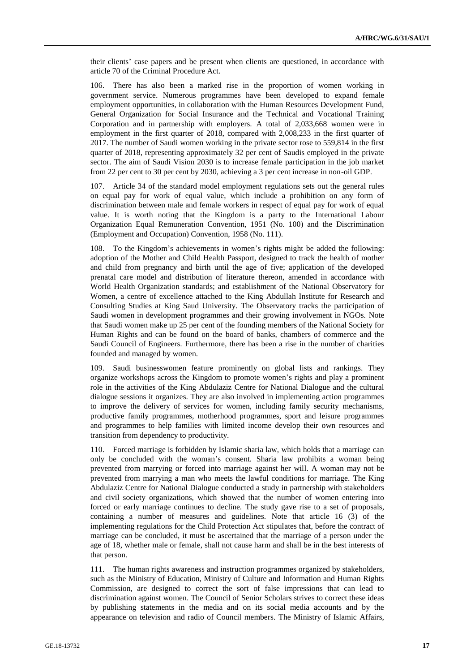their clients' case papers and be present when clients are questioned, in accordance with article 70 of the Criminal Procedure Act.

106. There has also been a marked rise in the proportion of women working in government service. Numerous programmes have been developed to expand female employment opportunities, in collaboration with the Human Resources Development Fund, General Organization for Social Insurance and the Technical and Vocational Training Corporation and in partnership with employers. A total of 2,033,668 women were in employment in the first quarter of 2018, compared with 2,008,233 in the first quarter of 2017. The number of Saudi women working in the private sector rose to 559,814 in the first quarter of 2018, representing approximately 32 per cent of Saudis employed in the private sector. The aim of Saudi Vision 2030 is to increase female participation in the job market from 22 per cent to 30 per cent by 2030, achieving a 3 per cent increase in non-oil GDP.

107. Article 34 of the standard model employment regulations sets out the general rules on equal pay for work of equal value, which include a prohibition on any form of discrimination between male and female workers in respect of equal pay for work of equal value. It is worth noting that the Kingdom is a party to the International Labour Organization Equal Remuneration Convention, 1951 (No. 100) and the Discrimination (Employment and Occupation) Convention, 1958 (No. 111).

108. To the Kingdom's achievements in women's rights might be added the following: adoption of the Mother and Child Health Passport, designed to track the health of mother and child from pregnancy and birth until the age of five; application of the developed prenatal care model and distribution of literature thereon, amended in accordance with World Health Organization standards; and establishment of the National Observatory for Women, a centre of excellence attached to the King Abdullah Institute for Research and Consulting Studies at King Saud University. The Observatory tracks the participation of Saudi women in development programmes and their growing involvement in NGOs. Note that Saudi women make up 25 per cent of the founding members of the National Society for Human Rights and can be found on the board of banks, chambers of commerce and the Saudi Council of Engineers. Furthermore, there has been a rise in the number of charities founded and managed by women.

109. Saudi businesswomen feature prominently on global lists and rankings. They organize workshops across the Kingdom to promote women's rights and play a prominent role in the activities of the King Abdulaziz Centre for National Dialogue and the cultural dialogue sessions it organizes. They are also involved in implementing action programmes to improve the delivery of services for women, including family security mechanisms, productive family programmes, motherhood programmes, sport and leisure programmes and programmes to help families with limited income develop their own resources and transition from dependency to productivity.

110. Forced marriage is forbidden by Islamic sharia law, which holds that a marriage can only be concluded with the woman's consent. Sharia law prohibits a woman being prevented from marrying or forced into marriage against her will. A woman may not be prevented from marrying a man who meets the lawful conditions for marriage. The King Abdulaziz Centre for National Dialogue conducted a study in partnership with stakeholders and civil society organizations, which showed that the number of women entering into forced or early marriage continues to decline. The study gave rise to a set of proposals, containing a number of measures and guidelines. Note that article 16 (3) of the implementing regulations for the Child Protection Act stipulates that, before the contract of marriage can be concluded, it must be ascertained that the marriage of a person under the age of 18, whether male or female, shall not cause harm and shall be in the best interests of that person.

111. The human rights awareness and instruction programmes organized by stakeholders, such as the Ministry of Education, Ministry of Culture and Information and Human Rights Commission, are designed to correct the sort of false impressions that can lead to discrimination against women. The Council of Senior Scholars strives to correct these ideas by publishing statements in the media and on its social media accounts and by the appearance on television and radio of Council members. The Ministry of Islamic Affairs,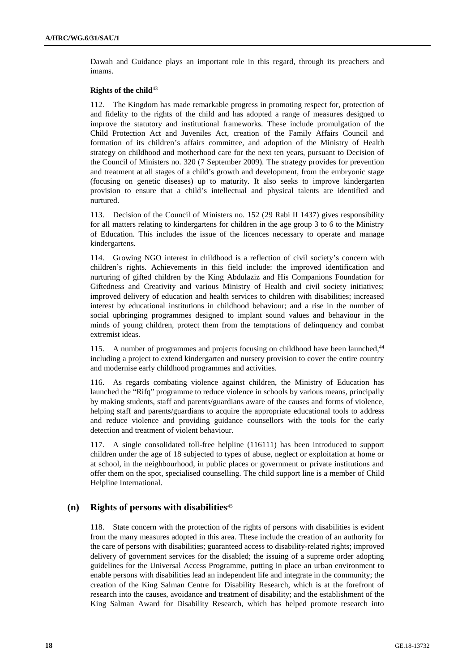Dawah and Guidance plays an important role in this regard, through its preachers and imams.

#### **Rights of the child**<sup>43</sup>

112. The Kingdom has made remarkable progress in promoting respect for, protection of and fidelity to the rights of the child and has adopted a range of measures designed to improve the statutory and institutional frameworks. These include promulgation of the Child Protection Act and Juveniles Act, creation of the Family Affairs Council and formation of its children's affairs committee, and adoption of the Ministry of Health strategy on childhood and motherhood care for the next ten years, pursuant to Decision of the Council of Ministers no. 320 (7 September 2009). The strategy provides for prevention and treatment at all stages of a child's growth and development, from the embryonic stage (focusing on genetic diseases) up to maturity. It also seeks to improve kindergarten provision to ensure that a child's intellectual and physical talents are identified and nurtured.

113. Decision of the Council of Ministers no. 152 (29 Rabi II 1437) gives responsibility for all matters relating to kindergartens for children in the age group 3 to 6 to the Ministry of Education. This includes the issue of the licences necessary to operate and manage kindergartens.

114. Growing NGO interest in childhood is a reflection of civil society's concern with children's rights. Achievements in this field include: the improved identification and nurturing of gifted children by the King Abdulaziz and His Companions Foundation for Giftedness and Creativity and various Ministry of Health and civil society initiatives; improved delivery of education and health services to children with disabilities; increased interest by educational institutions in childhood behaviour; and a rise in the number of social upbringing programmes designed to implant sound values and behaviour in the minds of young children, protect them from the temptations of delinquency and combat extremist ideas.

115. A number of programmes and projects focusing on childhood have been launched,<sup>44</sup> including a project to extend kindergarten and nursery provision to cover the entire country and modernise early childhood programmes and activities.

116. As regards combating violence against children, the Ministry of Education has launched the "Rifq" programme to reduce violence in schools by various means, principally by making students, staff and parents/guardians aware of the causes and forms of violence, helping staff and parents/guardians to acquire the appropriate educational tools to address and reduce violence and providing guidance counsellors with the tools for the early detection and treatment of violent behaviour.

117. A single consolidated toll-free helpline (116111) has been introduced to support children under the age of 18 subjected to types of abuse, neglect or exploitation at home or at school, in the neighbourhood, in public places or government or private institutions and offer them on the spot, specialised counselling. The child support line is a member of Child Helpline International.

### **(n) Rights of persons with disabilities**<sup>45</sup>

118. State concern with the protection of the rights of persons with disabilities is evident from the many measures adopted in this area. These include the creation of an authority for the care of persons with disabilities; guaranteed access to disability-related rights; improved delivery of government services for the disabled; the issuing of a supreme order adopting guidelines for the Universal Access Programme, putting in place an urban environment to enable persons with disabilities lead an independent life and integrate in the community; the creation of the King Salman Centre for Disability Research, which is at the forefront of research into the causes, avoidance and treatment of disability; and the establishment of the King Salman Award for Disability Research, which has helped promote research into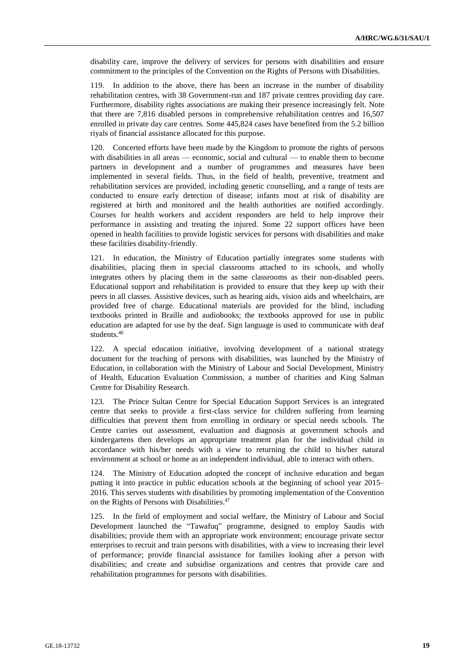disability care, improve the delivery of services for persons with disabilities and ensure commitment to the principles of the Convention on the Rights of Persons with Disabilities.

119. In addition to the above, there has been an increase in the number of disability rehabilitation centres, with 38 Government-run and 187 private centres providing day care. Furthermore, disability rights associations are making their presence increasingly felt. Note that there are 7,816 disabled persons in comprehensive rehabilitation centres and 16,507 enrolled in private day care centres. Some 445,824 cases have benefited from the 5.2 billion riyals of financial assistance allocated for this purpose.

120. Concerted efforts have been made by the Kingdom to promote the rights of persons with disabilities in all areas — economic, social and cultural — to enable them to become partners in development and a number of programmes and measures have been implemented in several fields. Thus, in the field of health, preventive, treatment and rehabilitation services are provided, including genetic counselling, and a range of tests are conducted to ensure early detection of disease; infants most at risk of disability are registered at birth and monitored and the health authorities are notified accordingly. Courses for health workers and accident responders are held to help improve their performance in assisting and treating the injured. Some 22 support offices have been opened in health facilities to provide logistic services for persons with disabilities and make these facilities disability-friendly.

121. In education, the Ministry of Education partially integrates some students with disabilities, placing them in special classrooms attached to its schools, and wholly integrates others by placing them in the same classrooms as their non-disabled peers. Educational support and rehabilitation is provided to ensure that they keep up with their peers in all classes. Assistive devices, such as hearing aids, vision aids and wheelchairs, are provided free of charge. Educational materials are provided for the blind, including textbooks printed in Braille and audiobooks; the textbooks approved for use in public education are adapted for use by the deaf. Sign language is used to communicate with deaf students. 46

122. A special education initiative, involving development of a national strategy document for the teaching of persons with disabilities, was launched by the Ministry of Education, in collaboration with the Ministry of Labour and Social Development, Ministry of Health, Education Evaluation Commission, a number of charities and King Salman Centre for Disability Research.

123. The Prince Sultan Centre for Special Education Support Services is an integrated centre that seeks to provide a first-class service for children suffering from learning difficulties that prevent them from enrolling in ordinary or special needs schools. The Centre carries out assessment, evaluation and diagnosis at government schools and kindergartens then develops an appropriate treatment plan for the individual child in accordance with his/her needs with a view to returning the child to his/her natural environment at school or home as an independent individual, able to interact with others.

124. The Ministry of Education adopted the concept of inclusive education and began putting it into practice in public education schools at the beginning of school year 2015– 2016. This serves students with disabilities by promoting implementation of the Convention on the Rights of Persons with Disabilities.<sup>47</sup>

125. In the field of employment and social welfare, the Ministry of Labour and Social Development launched the "Tawafuq" programme, designed to employ Saudis with disabilities; provide them with an appropriate work environment; encourage private sector enterprises to recruit and train persons with disabilities, with a view to increasing their level of performance; provide financial assistance for families looking after a person with disabilities; and create and subsidise organizations and centres that provide care and rehabilitation programmes for persons with disabilities.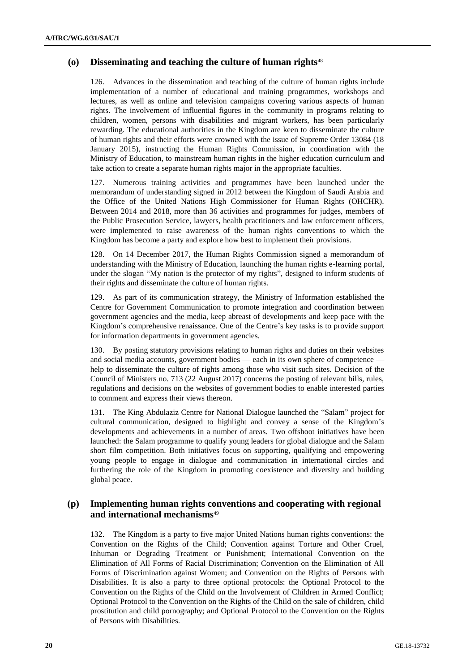## **(o) Disseminating and teaching the culture of human rights**<sup>48</sup>

126. Advances in the dissemination and teaching of the culture of human rights include implementation of a number of educational and training programmes, workshops and lectures, as well as online and television campaigns covering various aspects of human rights. The involvement of influential figures in the community in programs relating to children, women, persons with disabilities and migrant workers, has been particularly rewarding. The educational authorities in the Kingdom are keen to disseminate the culture of human rights and their efforts were crowned with the issue of Supreme Order 13084 (18 January 2015), instructing the Human Rights Commission, in coordination with the Ministry of Education, to mainstream human rights in the higher education curriculum and take action to create a separate human rights major in the appropriate faculties.

127. Numerous training activities and programmes have been launched under the memorandum of understanding signed in 2012 between the Kingdom of Saudi Arabia and the Office of the United Nations High Commissioner for Human Rights (OHCHR). Between 2014 and 2018, more than 36 activities and programmes for judges, members of the Public Prosecution Service, lawyers, health practitioners and law enforcement officers, were implemented to raise awareness of the human rights conventions to which the Kingdom has become a party and explore how best to implement their provisions.

128. On 14 December 2017, the Human Rights Commission signed a memorandum of understanding with the Ministry of Education, launching the human rights e-learning portal, under the slogan "My nation is the protector of my rights", designed to inform students of their rights and disseminate the culture of human rights.

129. As part of its communication strategy, the Ministry of Information established the Centre for Government Communication to promote integration and coordination between government agencies and the media, keep abreast of developments and keep pace with the Kingdom's comprehensive renaissance. One of the Centre's key tasks is to provide support for information departments in government agencies.

130. By posting statutory provisions relating to human rights and duties on their websites and social media accounts, government bodies — each in its own sphere of competence help to disseminate the culture of rights among those who visit such sites. Decision of the Council of Ministers no. 713 (22 August 2017) concerns the posting of relevant bills, rules, regulations and decisions on the websites of government bodies to enable interested parties to comment and express their views thereon.

131. The King Abdulaziz Centre for National Dialogue launched the "Salam" project for cultural communication, designed to highlight and convey a sense of the Kingdom's developments and achievements in a number of areas. Two offshoot initiatives have been launched: the Salam programme to qualify young leaders for global dialogue and the Salam short film competition. Both initiatives focus on supporting, qualifying and empowering young people to engage in dialogue and communication in international circles and furthering the role of the Kingdom in promoting coexistence and diversity and building global peace.

## **(p) Implementing human rights conventions and cooperating with regional and international mechanisms**<sup>49</sup>

132. The Kingdom is a party to five major United Nations human rights conventions: the Convention on the Rights of the Child; Convention against Torture and Other Cruel, Inhuman or Degrading Treatment or Punishment; International Convention on the Elimination of All Forms of Racial Discrimination; Convention on the Elimination of All Forms of Discrimination against Women; and Convention on the Rights of Persons with Disabilities. It is also a party to three optional protocols: the Optional Protocol to the Convention on the Rights of the Child on the Involvement of Children in Armed Conflict; Optional Protocol to the Convention on the Rights of the Child on the sale of children, child prostitution and child pornography; and Optional Protocol to the Convention on the Rights of Persons with Disabilities.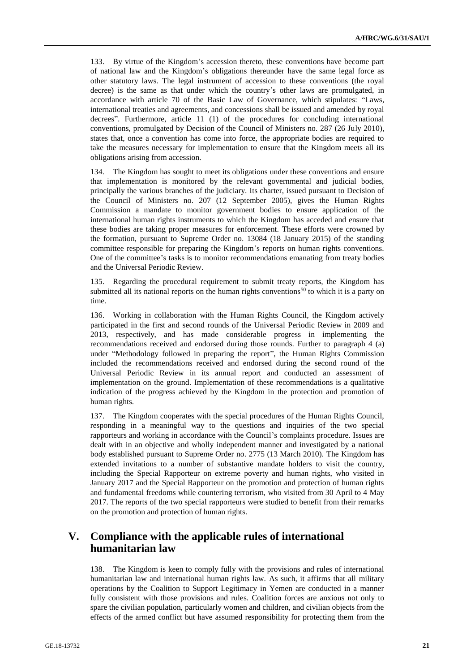133. By virtue of the Kingdom's accession thereto, these conventions have become part of national law and the Kingdom's obligations thereunder have the same legal force as other statutory laws. The legal instrument of accession to these conventions (the royal decree) is the same as that under which the country's other laws are promulgated, in accordance with article 70 of the Basic Law of Governance, which stipulates: "Laws, international treaties and agreements, and concessions shall be issued and amended by royal decrees". Furthermore, article 11 (1) of the procedures for concluding international conventions, promulgated by Decision of the Council of Ministers no. 287 (26 July 2010), states that, once a convention has come into force, the appropriate bodies are required to take the measures necessary for implementation to ensure that the Kingdom meets all its obligations arising from accession.

134. The Kingdom has sought to meet its obligations under these conventions and ensure that implementation is monitored by the relevant governmental and judicial bodies, principally the various branches of the judiciary. Its charter, issued pursuant to Decision of the Council of Ministers no. 207 (12 September 2005), gives the Human Rights Commission a mandate to monitor government bodies to ensure application of the international human rights instruments to which the Kingdom has acceded and ensure that these bodies are taking proper measures for enforcement. These efforts were crowned by the formation, pursuant to Supreme Order no. 13084 (18 January 2015) of the standing committee responsible for preparing the Kingdom's reports on human rights conventions. One of the committee's tasks is to monitor recommendations emanating from treaty bodies and the Universal Periodic Review.

135. Regarding the procedural requirement to submit treaty reports, the Kingdom has submitted all its national reports on the human rights conventions<sup>50</sup> to which it is a party on time.

136. Working in collaboration with the Human Rights Council, the Kingdom actively participated in the first and second rounds of the Universal Periodic Review in 2009 and 2013, respectively, and has made considerable progress in implementing the recommendations received and endorsed during those rounds. Further to paragraph 4 (a) under "Methodology followed in preparing the report", the Human Rights Commission included the recommendations received and endorsed during the second round of the Universal Periodic Review in its annual report and conducted an assessment of implementation on the ground. Implementation of these recommendations is a qualitative indication of the progress achieved by the Kingdom in the protection and promotion of human rights.

137. The Kingdom cooperates with the special procedures of the Human Rights Council, responding in a meaningful way to the questions and inquiries of the two special rapporteurs and working in accordance with the Council's complaints procedure. Issues are dealt with in an objective and wholly independent manner and investigated by a national body established pursuant to Supreme Order no. 2775 (13 March 2010). The Kingdom has extended invitations to a number of substantive mandate holders to visit the country, including the Special Rapporteur on extreme poverty and human rights, who visited in January 2017 and the Special Rapporteur on the promotion and protection of human rights and fundamental freedoms while countering terrorism, who visited from 30 April to 4 May 2017. The reports of the two special rapporteurs were studied to benefit from their remarks on the promotion and protection of human rights.

## **V. Compliance with the applicable rules of international humanitarian law**

138. The Kingdom is keen to comply fully with the provisions and rules of international humanitarian law and international human rights law. As such, it affirms that all military operations by the Coalition to Support Legitimacy in Yemen are conducted in a manner fully consistent with those provisions and rules. Coalition forces are anxious not only to spare the civilian population, particularly women and children, and civilian objects from the effects of the armed conflict but have assumed responsibility for protecting them from the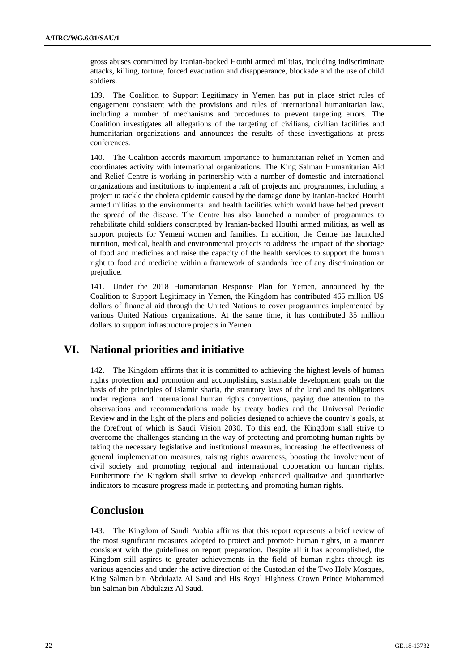gross abuses committed by Iranian-backed Houthi armed militias, including indiscriminate attacks, killing, torture, forced evacuation and disappearance, blockade and the use of child soldiers.

139. The Coalition to Support Legitimacy in Yemen has put in place strict rules of engagement consistent with the provisions and rules of international humanitarian law, including a number of mechanisms and procedures to prevent targeting errors. The Coalition investigates all allegations of the targeting of civilians, civilian facilities and humanitarian organizations and announces the results of these investigations at press conferences.

140. The Coalition accords maximum importance to humanitarian relief in Yemen and coordinates activity with international organizations. The King Salman Humanitarian Aid and Relief Centre is working in partnership with a number of domestic and international organizations and institutions to implement a raft of projects and programmes, including a project to tackle the cholera epidemic caused by the damage done by Iranian-backed Houthi armed militias to the environmental and health facilities which would have helped prevent the spread of the disease. The Centre has also launched a number of programmes to rehabilitate child soldiers conscripted by Iranian-backed Houthi armed militias, as well as support projects for Yemeni women and families. In addition, the Centre has launched nutrition, medical, health and environmental projects to address the impact of the shortage of food and medicines and raise the capacity of the health services to support the human right to food and medicine within a framework of standards free of any discrimination or prejudice.

141. Under the 2018 Humanitarian Response Plan for Yemen, announced by the Coalition to Support Legitimacy in Yemen, the Kingdom has contributed 465 million US dollars of financial aid through the United Nations to cover programmes implemented by various United Nations organizations. At the same time, it has contributed 35 million dollars to support infrastructure projects in Yemen.

## **VI. National priorities and initiative**

142. The Kingdom affirms that it is committed to achieving the highest levels of human rights protection and promotion and accomplishing sustainable development goals on the basis of the principles of Islamic sharia, the statutory laws of the land and its obligations under regional and international human rights conventions, paying due attention to the observations and recommendations made by treaty bodies and the Universal Periodic Review and in the light of the plans and policies designed to achieve the country's goals, at the forefront of which is Saudi Vision 2030. To this end, the Kingdom shall strive to overcome the challenges standing in the way of protecting and promoting human rights by taking the necessary legislative and institutional measures, increasing the effectiveness of general implementation measures, raising rights awareness, boosting the involvement of civil society and promoting regional and international cooperation on human rights. Furthermore the Kingdom shall strive to develop enhanced qualitative and quantitative indicators to measure progress made in protecting and promoting human rights.

## **Conclusion**

143. The Kingdom of Saudi Arabia affirms that this report represents a brief review of the most significant measures adopted to protect and promote human rights, in a manner consistent with the guidelines on report preparation. Despite all it has accomplished, the Kingdom still aspires to greater achievements in the field of human rights through its various agencies and under the active direction of the Custodian of the Two Holy Mosques, King Salman bin Abdulaziz Al Saud and His Royal Highness Crown Prince Mohammed bin Salman bin Abdulaziz Al Saud.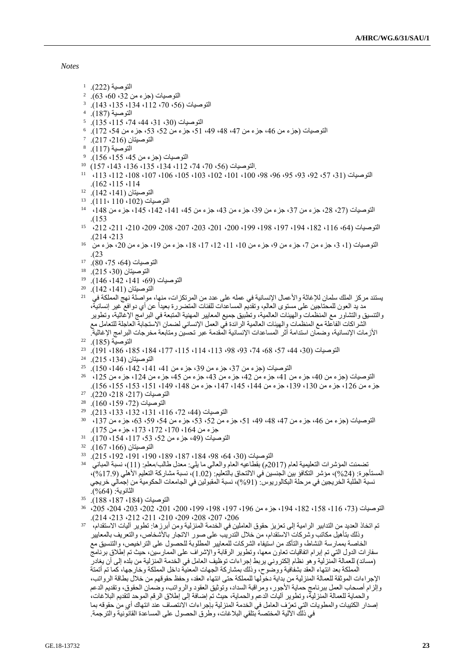*Notes*

- التوصية (222). ل
- التوصيات (جزء من 32، 60، 63).  $^{\circ}$
- التوصيات (56، 70، 112، 134، 135، 143). 3
- التوصية (187). <sup>4</sup>
- التوصيات (30، 31، 44، 74، 115، 135).  $^{\circ}$
- التوصيات (جزء من 46، جزء من 47، 48، 49، 51، 52، 53، جزء من 54، 172). 6
- $^{\circ}$  التوصيتان (216، 217).  $^{\circ}$
- التوصية (117). <sup>8</sup>
- التوصيات (جزء من 45، 155، 156). <sup>9</sup>
- .التوصيات )،56 ،70 ،74 ،112 ،134 ،135 ،136 ،143 157( <sup>10</sup>
- التوصيات )،31 ،57 ،92 ،93 ،95 ،96 ،98 ،100 ،101 ،102 ،103 ،105 ،106 ،107 ،108 ،112 ،113 <sup>11</sup> .)162 ،115 ،114
- التوصيتان (141، 142). 12
- التوصيات )،102 110 111،(. <sup>13</sup>
- التوصيات )،27 ،28 جزء من ،37 جزء من ،39 جزء من ،43 جزء من ،45 ،141 ،142 ،145 جزء من ،148 <sup>14</sup> .)153
- التوصيات )،64 ،116 ،182 ،194 ،197 ،198 ،199 ،200 ،201 ،203 ،207 ،208 ،209 ،210 ،211 ،212 <sup>15</sup> .)214 ،213
- التوصيات (1، 3، جزء من 7، جزء من 9، جزء من 10، 11، 12، 17، 18، جزء من 19، جزء من 20، جزء من <sup>16</sup> .)23
- التوصيات (64، 75، 80). 17
- التوصيتان (30، 215). 18
- التوصيات )،69 ،141 ،142 146(. <sup>19</sup>
- التوصيتان (141، 142).<br>درام اقزيت المباكة في 21
- يستند مركز الملك سلمان للإغاثة والأعمال الإنسانية في عمله على عدد من المرتكزات، منها، مواصلة نهج المملكة في مد يد العون للمحتاجين على مستوى العالم، وتقديم المساعدات للفئات المتضررة بعيداً عن أي دوافع غير إنسانية، والتنسيق والتشاور مع المنظمات والهيئات العالمية، وتطبيق جميع المعايير المهنية المتبعة في البرامج اإلغاثية، وتطوير الشراكات الفاعلة مع المنظمات والهيئات العالمية الرائدة في العمل اإلنساني لضمان االستجابة العاجلة للتعامل مع األزمات اإلنسانية، وضمان استدامة أثر المساعدات اإلنسانية المقدمة عبر تحسين ومتابعة مخرجات البرامج اإلغاثية.
- التوصية (185). 22
- التوصيات )،30 ،44 ،57 ،68 ،74 ،93 ،98 ،113 ،114 ،115 ،177 ،184 ،185 ،186 191(. <sup>23</sup>
- التوصيتان )،134 215(. <sup>24</sup>
- التوصيات (جزء من 37، جزء من 39، جزء من 41، 141، 142، 146، 150). <sup>25</sup>
- $^{125}$  التوصيات (جزء من 40، جزء من 41، جزء من 42، جزء من 43، جزء من 45، جزء من 124، جزء من 125،  $^{126}$ جزء من ،126 جزء من ،130 ،139 جزء من ،144 ،145 ،147 جزء من ،148 ،149 ،151 ،153 ،155 156(.
- التوصيات )،217 ،218 220(. <sup>27</sup>
- التوصيات (72، 159، 160). <sup>28</sup>
- التوصيات )،44 ،72 ،116 ،131 ،132 ،133 213(. <sup>29</sup>
- التوصيات (جزء من 46، جزء من 47، 48، 49، 51، جزء من 52، 53، جزء من 54، 59، 63، جزء من 137، <sup>30</sup> جزء من ،164 ،170 ،172 ،173 جزء من 175(.
- التوصيات (49، جزء من 52، 53، 117، 154، 170). 31
- التوصيتان )،166 167(. <sup>32</sup>
- التوصيات )،30 ،64 ،98 ،184 ،187 ،189 ،190 ،191 ،192 215(. <sup>33</sup>
- تضمنت المؤشرات التعليمية لعام (2017م) بقطاعيه العام والعالي ما يلي: معدل طالب/معلم: (11)، نسبة المباني لك المستأجرة: (24%)، مؤشر التكافؤ بين الجنسين في الالتحاق بالتعليم: (1.02)، نسبة مشاركة التعليم الأهلي (17.9%)، نسبة الطلبة الخريجين في مرحلة البكالوريوس: (91%)، نسبة المقبولين في الجامعات الحكومية من إجمالي خريجي الثانوية: (64%).
- التوصيات )،184 ،187 188(. <sup>35</sup>
- التوصيات )،73 ،116 ،158 ،182 ،194 جزء من ،196 ،197 ،198 ،199 ،200 ،201 ،202 ،203 ،204 ،205 <sup>36</sup> .)214 ،213 ،212 ،211 ،210 ،209 ،208 ،207 ،206
- تم اتخاذ العديد من التدابير الرامية إلى تعزيز حقوق العاملين في الخدمة المنزلية ومن أبرزها: تطوير آليات االستقدام**،** <sup>37</sup> وذلك بتأهيل مكاتب وشركات االستقدام، من خالل التدريب على صور االتجار باألشخاص، والتعريف بالمعايير الخاصة بممارسة النشاط، والتأكد من استيفاء الشركات للمعايير المطلوبة للحصول على التراخيص، والتنسيق مع سفارات الدول التي تم إبرام اتفاقيات تعاون معها، وتطوير الرقابة واإلشراف على الممارسين**،** حيث تم إطالق برنامج (مساند) للعمالة المنزلية وهو نظام إلكتروني يربط إجراءات توظيف العامل في الخدمة المنزلية من بلده إلى أن يغادر المملكة بعد انتهاء العقد بشفافية ووضوح، وذلك بمشاركة الجهات المعنية داخل المملكة وخارجها، كما تم أتمتة اإلجراءات الموثقة للعمالة المنزلية من بداية دخولها للمملكة حتى انتهاء العقد، وحفظ حقوقهم من خالل بطاقة الرواتب، وإلزام أصحاب العمل ببرنامج حماية األجور، ومراقبة السداد، وتوثيق العقود والرواتب، وضمان الحقوق، وتقديم الدعم والحماية للعمالة المنزلية، وتطوير آليات الدعم والحماية**،** حيث تم إضافة إلى إطالق الرقم الموحد لتقديم البالغات، إصدار الكتيبات والمطويات التي تعرّف العامل في الخدمة المنزلية بإجراءات الانتصاف عند انتهاك أيٍ من حقوقه بما في ذلك اآللية المختصة بتلقي البالغات، وطرق الحصول على المساعدة القانونية والترجمة.